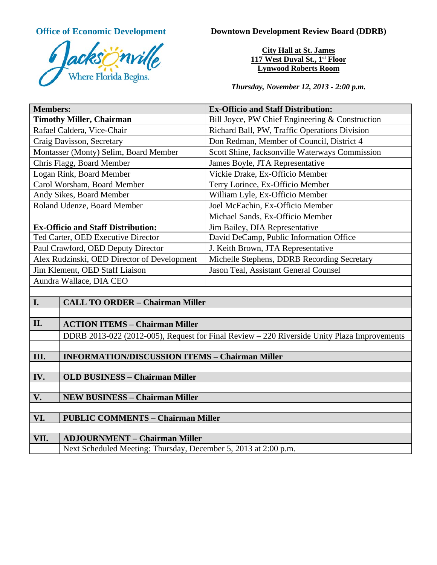

**Office of Economic Development Downtown Development Review Board (DDRB)** 

**City Hall at St. James 117 West Duval St., 1st Floor Lynwood Roberts Room**

*Thursday, November 12, 2013 - 2:00 p.m.*

| <b>Members:</b>                                                                             | <b>Ex-Officio and Staff Distribution:</b>       |
|---------------------------------------------------------------------------------------------|-------------------------------------------------|
| <b>Timothy Miller, Chairman</b>                                                             | Bill Joyce, PW Chief Engineering & Construction |
| Rafael Caldera, Vice-Chair                                                                  | Richard Ball, PW, Traffic Operations Division   |
| Craig Davisson, Secretary                                                                   | Don Redman, Member of Council, District 4       |
| Montasser (Monty) Selim, Board Member                                                       | Scott Shine, Jacksonville Waterways Commission  |
| Chris Flagg, Board Member                                                                   | James Boyle, JTA Representative                 |
| Logan Rink, Board Member                                                                    | Vickie Drake, Ex-Officio Member                 |
| Carol Worsham, Board Member                                                                 | Terry Lorince, Ex-Officio Member                |
| Andy Sikes, Board Member                                                                    | William Lyle, Ex-Officio Member                 |
| Roland Udenze, Board Member                                                                 | Joel McEachin, Ex-Officio Member                |
|                                                                                             | Michael Sands, Ex-Officio Member                |
| <b>Ex-Officio and Staff Distribution:</b>                                                   | Jim Bailey, DIA Representative                  |
| Ted Carter, OED Executive Director                                                          | David DeCamp, Public Information Office         |
| Paul Crawford, OED Deputy Director                                                          | J. Keith Brown, JTA Representative              |
| Alex Rudzinski, OED Director of Development                                                 | Michelle Stephens, DDRB Recording Secretary     |
| Jim Klement, OED Staff Liaison                                                              | Jason Teal, Assistant General Counsel           |
| Aundra Wallace, DIA CEO                                                                     |                                                 |
|                                                                                             |                                                 |
| I.<br><b>CALL TO ORDER - Chairman Miller</b>                                                |                                                 |
|                                                                                             |                                                 |
| II.<br><b>ACTION ITEMS - Chairman Miller</b>                                                |                                                 |
| DDRB 2013-022 (2012-005), Request for Final Review – 220 Riverside Unity Plaza Improvements |                                                 |

## **III. INFORMATION/DISCUSSION ITEMS – Chairman Miller**

**IV. OLD BUSINESS – Chairman Miller**

**V. NEW BUSINESS – Chairman Miller**

**VI. PUBLIC COMMENTS – Chairman Miller**

## **VII. ADJOURNMENT – Chairman Miller**

Next Scheduled Meeting: Thursday, December 5, 2013 at 2:00 p.m.